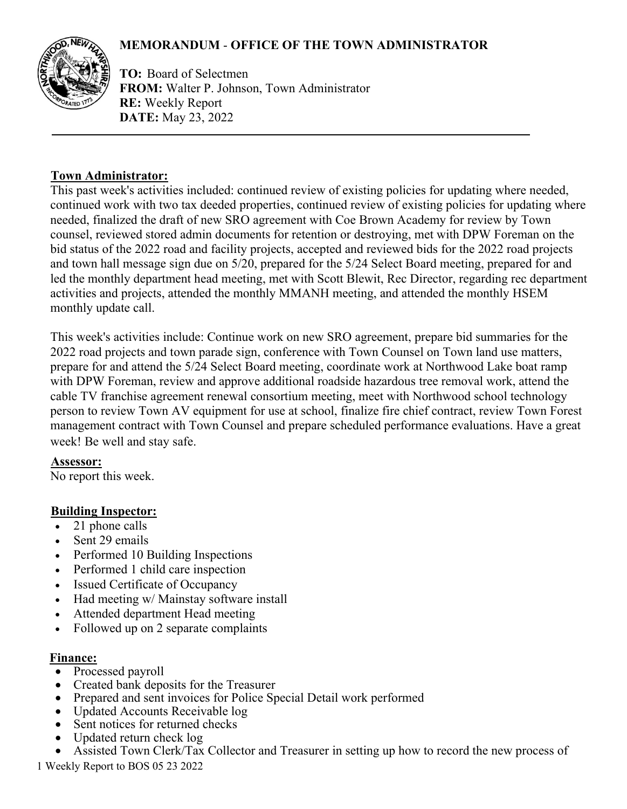# **MEMORANDUM** - **OFFICE OF THE TOWN ADMINISTRATOR**



**TO:** Board of Selectmen **FROM:** Walter P. Johnson, Town Administrator **RE:** Weekly Report **DATE:** May 23, 2022

### **Town Administrator:**

This past week's activities included: continued review of existing policies for updating where needed, continued work with two tax deeded properties, continued review of existing policies for updating where needed, finalized the draft of new SRO agreement with Coe Brown Academy for review by Town counsel, reviewed stored admin documents for retention or destroying, met with DPW Foreman on the bid status of the 2022 road and facility projects, accepted and reviewed bids for the 2022 road projects and town hall message sign due on 5/20, prepared for the 5/24 Select Board meeting, prepared for and led the monthly department head meeting, met with Scott Blewit, Rec Director, regarding rec department activities and projects, attended the monthly MMANH meeting, and attended the monthly HSEM monthly update call.

This week's activities include: Continue work on new SRO agreement, prepare bid summaries for the 2022 road projects and town parade sign, conference with Town Counsel on Town land use matters, prepare for and attend the 5/24 Select Board meeting, coordinate work at Northwood Lake boat ramp with DPW Foreman, review and approve additional roadside hazardous tree removal work, attend the cable TV franchise agreement renewal consortium meeting, meet with Northwood school technology person to review Town AV equipment for use at school, finalize fire chief contract, review Town Forest management contract with Town Counsel and prepare scheduled performance evaluations. Have a great week! Be well and stay safe.

### **Assessor:**

No report this week.

# **Building Inspector:**

- 21 phone calls
- Sent 29 emails
- Performed 10 Building Inspections
- Performed 1 child care inspection
- Issued Certificate of Occupancy
- Had meeting w/ Mainstay software install
- Attended department Head meeting
- Followed up on 2 separate complaints

### **Finance:**

- Processed payroll
- Created bank deposits for the Treasurer
- Prepared and sent invoices for Police Special Detail work performed
- Updated Accounts Receivable log
- Sent notices for returned checks
- Updated return check log
- Assisted Town Clerk/Tax Collector and Treasurer in setting up how to record the new process of

1 Weekly Report to BOS 05 23 2022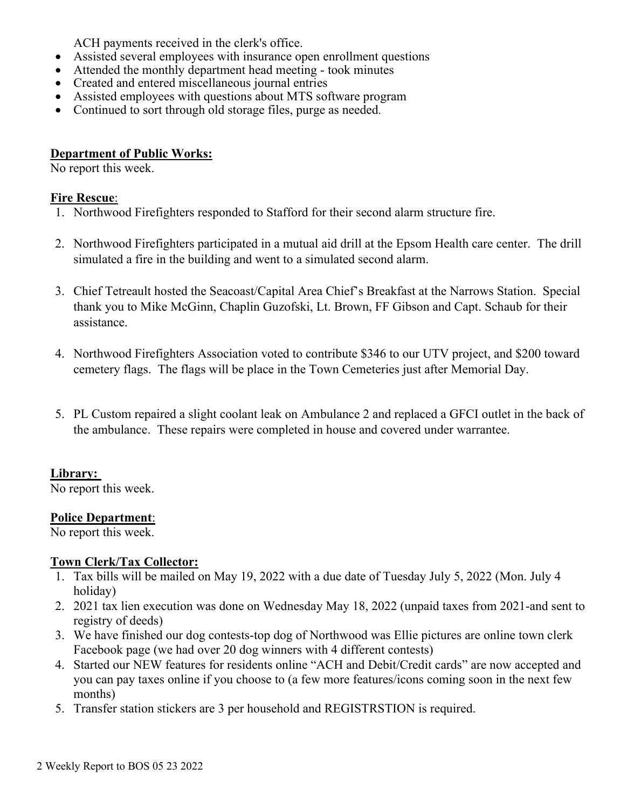ACH payments received in the clerk's office.

- Assisted several employees with insurance open enrollment questions
- Attended the monthly department head meeting took minutes
- Created and entered miscellaneous journal entries
- Assisted employees with questions about MTS software program
- Continued to sort through old storage files, purge as needed.

### **Department of Public Works:**

No report this week.

#### **Fire Rescue**:

- 1. Northwood Firefighters responded to Stafford for their second alarm structure fire.
- 2. Northwood Firefighters participated in a mutual aid drill at the Epsom Health care center. The drill simulated a fire in the building and went to a simulated second alarm.
- 3. Chief Tetreault hosted the Seacoast/Capital Area Chief's Breakfast at the Narrows Station. Special thank you to Mike McGinn, Chaplin Guzofski, Lt. Brown, FF Gibson and Capt. Schaub for their assistance.
- 4. Northwood Firefighters Association voted to contribute \$346 to our UTV project, and \$200 toward cemetery flags. The flags will be place in the Town Cemeteries just after Memorial Day.
- 5. PL Custom repaired a slight coolant leak on Ambulance 2 and replaced a GFCI outlet in the back of the ambulance. These repairs were completed in house and covered under warrantee.

### **Library:**

No report this week.

### **Police Department**:

No report this week.

### **Town Clerk/Tax Collector:**

- 1. Tax bills will be mailed on May 19, 2022 with a due date of Tuesday July 5, 2022 (Mon. July 4 holiday)
- 2. 2021 tax lien execution was done on Wednesday May 18, 2022 (unpaid taxes from 2021-and sent to registry of deeds)
- 3. We have finished our dog contests-top dog of Northwood was Ellie pictures are online town clerk Facebook page (we had over 20 dog winners with 4 different contests)
- 4. Started our NEW features for residents online "ACH and Debit/Credit cards" are now accepted and you can pay taxes online if you choose to (a few more features/icons coming soon in the next few months)
- 5. Transfer station stickers are 3 per household and REGISTRSTION is required.